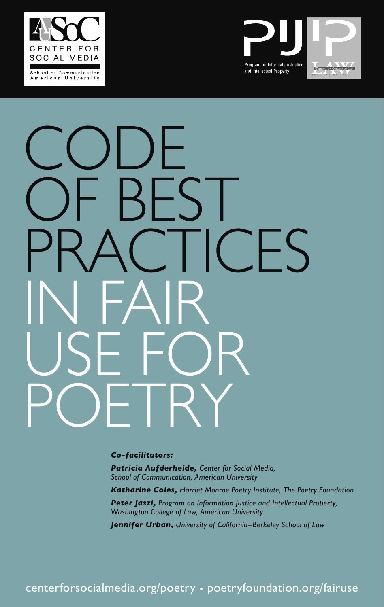



# CODE<br>2011 CODE OF BEST `FS IN FAIR USE FOR POETRY

*Co-facilitators:*

*Patricia Aufderheide, Center for Social Media, School of Communication, American University* 

*Katharine Coles, Harriet Monroe Poetry Institute, The Poetry Foundation*

*Peter Jaszi, Program on Information Justice and Intellectual Property, Washington College of Law, American University*

*Jennifer Urban, University of California–Berkeley School of Law* 

centerforsocialmedia.org/poetry • poetryfoundation.org/fairuse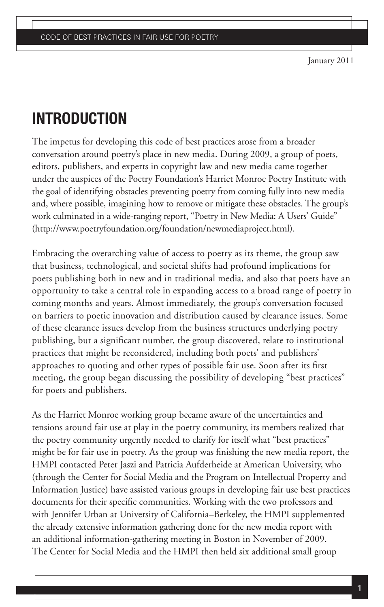January 2011

## **INTRODUCTION**

The impetus for developing this code of best practices arose from a broader conversation around poetry's place in new media. During 2009, a group of poets, editors, publishers, and experts in copyright law and new media came together under the auspices of the Poetry Foundation's Harriet Monroe Poetry Institute with the goal of identifying obstacles preventing poetry from coming fully into new media and, where possible, imagining how to remove or mitigate these obstacles. The group's work culminated in a wide-ranging report, "Poetry in New Media: A Users' Guide" (http://www.poetryfoundation.org/foundation/newmediaproject.html).

Embracing the overarching value of access to poetry as its theme, the group saw that business, technological, and societal shifts had profound implications for poets publishing both in new and in traditional media, and also that poets have an opportunity to take a central role in expanding access to a broad range of poetry in coming months and years. Almost immediately, the group's conversation focused on barriers to poetic innovation and distribution caused by clearance issues. Some of these clearance issues develop from the business structures underlying poetry publishing, but a significant number, the group discovered, relate to institutional practices that might be reconsidered, including both poets' and publishers' approaches to quoting and other types of possible fair use. Soon after its first meeting, the group began discussing the possibility of developing "best practices" for poets and publishers.

As the Harriet Monroe working group became aware of the uncertainties and tensions around fair use at play in the poetry community, its members realized that the poetry community urgently needed to clarify for itself what "best practices" might be for fair use in poetry. As the group was finishing the new media report, the HMPI contacted Peter Jaszi and Patricia Aufderheide at American University, who (through the Center for Social Media and the Program on Intellectual Property and Information Justice) have assisted various groups in developing fair use best practices documents for their specific communities. Working with the two professors and with Jennifer Urban at University of California–Berkeley, the HMPI supplemented the already extensive information gathering done for the new media report with an additional information-gathering meeting in Boston in November of 2009. The Center for Social Media and the HMPI then held six additional small group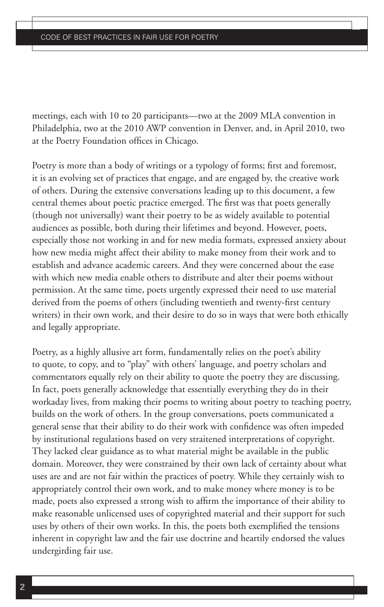meetings, each with 10 to 20 participants—two at the 2009 MLA convention in Philadelphia, two at the 2010 AWP convention in Denver, and, in April 2010, two at the Poetry Foundation offices in Chicago.

Poetry is more than a body of writings or a typology of forms; first and foremost, it is an evolving set of practices that engage, and are engaged by, the creative work of others. During the extensive conversations leading up to this document, a few central themes about poetic practice emerged. The first was that poets generally (though not universally) want their poetry to be as widely available to potential audiences as possible, both during their lifetimes and beyond. However, poets, especially those not working in and for new media formats, expressed anxiety about how new media might affect their ability to make money from their work and to establish and advance academic careers. And they were concerned about the ease with which new media enable others to distribute and alter their poems without permission. At the same time, poets urgently expressed their need to use material derived from the poems of others (including twentieth and twenty-first century writers) in their own work, and their desire to do so in ways that were both ethically and legally appropriate.

Poetry, as a highly allusive art form, fundamentally relies on the poet's ability to quote, to copy, and to "play" with others' language, and poetry scholars and commentators equally rely on their ability to quote the poetry they are discussing. In fact, poets generally acknowledge that essentially everything they do in their workaday lives, from making their poems to writing about poetry to teaching poetry, builds on the work of others. In the group conversations, poets communicated a general sense that their ability to do their work with confidence was often impeded by institutional regulations based on very straitened interpretations of copyright. They lacked clear guidance as to what material might be available in the public domain. Moreover, they were constrained by their own lack of certainty about what uses are and are not fair within the practices of poetry. While they certainly wish to appropriately control their own work, and to make money where money is to be made, poets also expressed a strong wish to affirm the importance of their ability to make reasonable unlicensed uses of copyrighted material and their support for such uses by others of their own works. In this, the poets both exemplified the tensions inherent in copyright law and the fair use doctrine and heartily endorsed the values undergirding fair use.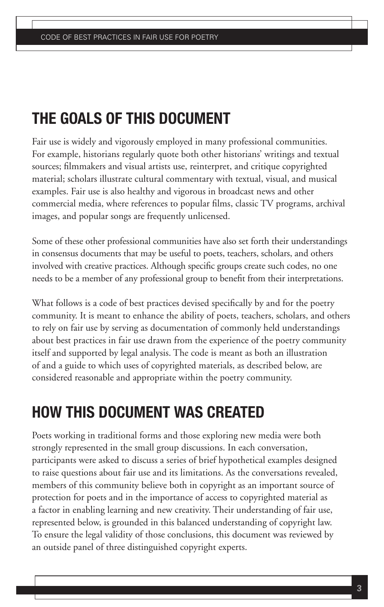## **THE GOALS OF THIS DOCUMENT**

Fair use is widely and vigorously employed in many professional communities. For example, historians regularly quote both other historians' writings and textual sources; filmmakers and visual artists use, reinterpret, and critique copyrighted material; scholars illustrate cultural commentary with textual, visual, and musical examples. Fair use is also healthy and vigorous in broadcast news and other commercial media, where references to popular films, classic TV programs, archival images, and popular songs are frequently unlicensed.

Some of these other professional communities have also set forth their understandings in consensus documents that may be useful to poets, teachers, scholars, and others involved with creative practices. Although specific groups create such codes, no one needs to be a member of any professional group to benefit from their interpretations.

What follows is a code of best practices devised specifically by and for the poetry community. It is meant to enhance the ability of poets, teachers, scholars, and others to rely on fair use by serving as documentation of commonly held understandings about best practices in fair use drawn from the experience of the poetry community itself and supported by legal analysis. The code is meant as both an illustration of and a guide to which uses of copyrighted materials, as described below, are considered reasonable and appropriate within the poetry community.

## **HOW THIS DOCUMENT WAS CREATED**

Poets working in traditional forms and those exploring new media were both strongly represented in the small group discussions. In each conversation, participants were asked to discuss a series of brief hypothetical examples designed to raise questions about fair use and its limitations. As the conversations revealed, members of this community believe both in copyright as an important source of protection for poets and in the importance of access to copyrighted material as a factor in enabling learning and new creativity. Their understanding of fair use, represented below, is grounded in this balanced understanding of copyright law. To ensure the legal validity of those conclusions, this document was reviewed by an outside panel of three distinguished copyright experts.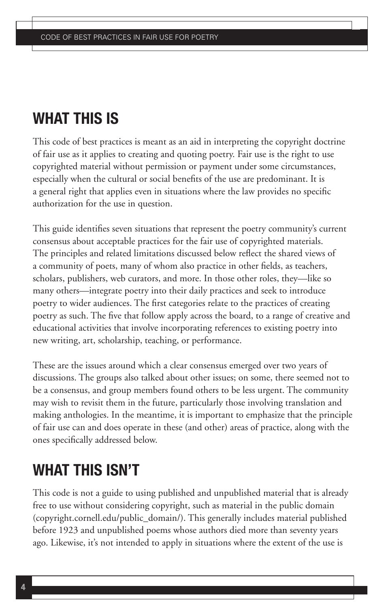## **WHAT THIS IS**

This code of best practices is meant as an aid in interpreting the copyright doctrine of fair use as it applies to creating and quoting poetry. Fair use is the right to use copyrighted material without permission or payment under some circumstances, especially when the cultural or social benefits of the use are predominant. It is a general right that applies even in situations where the law provides no specific authorization for the use in question.

This guide identifies seven situations that represent the poetry community's current consensus about acceptable practices for the fair use of copyrighted materials. The principles and related limitations discussed below reflect the shared views of a community of poets, many of whom also practice in other fields, as teachers, scholars, publishers, web curators, and more. In those other roles, they—like so many others—integrate poetry into their daily practices and seek to introduce poetry to wider audiences. The first categories relate to the practices of creating poetry as such. The five that follow apply across the board, to a range of creative and educational activities that involve incorporating references to existing poetry into new writing, art, scholarship, teaching, or performance.

These are the issues around which a clear consensus emerged over two years of discussions. The groups also talked about other issues; on some, there seemed not to be a consensus, and group members found others to be less urgent. The community may wish to revisit them in the future, particularly those involving translation and making anthologies. In the meantime, it is important to emphasize that the principle of fair use can and does operate in these (and other) areas of practice, along with the ones specifically addressed below.

## **WHAT THIS ISN'T**

This code is not a guide to using published and unpublished material that is already free to use without considering copyright, such as material in the public domain (copyright.cornell.edu/public\_domain/). This generally includes material published before 1923 and unpublished poems whose authors died more than seventy years ago. Likewise, it's not intended to apply in situations where the extent of the use is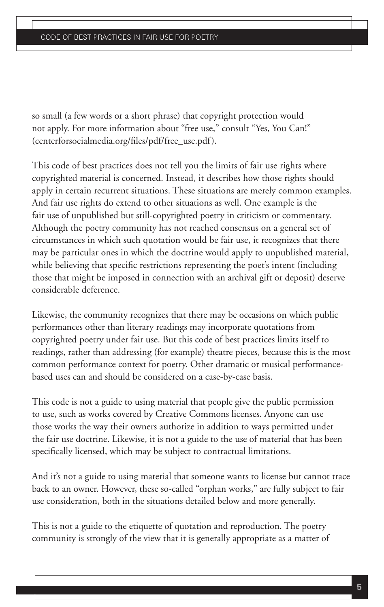so small (a few words or a short phrase) that copyright protection would not apply. For more information about "free use," consult "Yes, You Can!" (centerforsocialmedia.org/files/pdf/free\_use.pdf).

This code of best practices does not tell you the limits of fair use rights where copyrighted material is concerned. Instead, it describes how those rights should apply in certain recurrent situations. These situations are merely common examples. And fair use rights do extend to other situations as well. One example is the fair use of unpublished but still-copyrighted poetry in criticism or commentary. Although the poetry community has not reached consensus on a general set of circumstances in which such quotation would be fair use, it recognizes that there may be particular ones in which the doctrine would apply to unpublished material, while believing that specific restrictions representing the poet's intent (including those that might be imposed in connection with an archival gift or deposit) deserve considerable deference.

Likewise, the community recognizes that there may be occasions on which public performances other than literary readings may incorporate quotations from copyrighted poetry under fair use. But this code of best practices limits itself to readings, rather than addressing (for example) theatre pieces, because this is the most common performance context for poetry. Other dramatic or musical performancebased uses can and should be considered on a case-by-case basis.

This code is not a guide to using material that people give the public permission to use, such as works covered by Creative Commons licenses. Anyone can use those works the way their owners authorize in addition to ways permitted under the fair use doctrine. Likewise, it is not a guide to the use of material that has been specifically licensed, which may be subject to contractual limitations.

And it's not a guide to using material that someone wants to license but cannot trace back to an owner. However, these so-called "orphan works," are fully subject to fair use consideration, both in the situations detailed below and more generally.

This is not a guide to the etiquette of quotation and reproduction. The poetry community is strongly of the view that it is generally appropriate as a matter of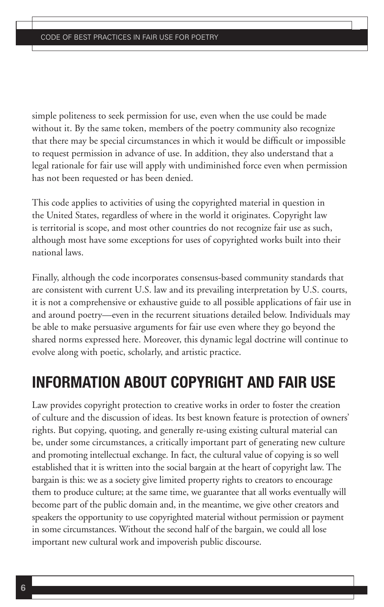simple politeness to seek permission for use, even when the use could be made without it. By the same token, members of the poetry community also recognize that there may be special circumstances in which it would be difficult or impossible to request permission in advance of use. In addition, they also understand that a legal rationale for fair use will apply with undiminished force even when permission has not been requested or has been denied.

This code applies to activities of using the copyrighted material in question in the United States, regardless of where in the world it originates. Copyright law is territorial is scope, and most other countries do not recognize fair use as such, although most have some exceptions for uses of copyrighted works built into their national laws.

Finally, although the code incorporates consensus-based community standards that are consistent with current U.S. law and its prevailing interpretation by U.S. courts, it is not a comprehensive or exhaustive guide to all possible applications of fair use in and around poetry—even in the recurrent situations detailed below. Individuals may be able to make persuasive arguments for fair use even where they go beyond the shared norms expressed here. Moreover, this dynamic legal doctrine will continue to evolve along with poetic, scholarly, and artistic practice.

## **INFORMATION ABOUT COPYRIGHT AND FAIR USE**

Law provides copyright protection to creative works in order to foster the creation of culture and the discussion of ideas. Its best known feature is protection of owners' rights. But copying, quoting, and generally re-using existing cultural material can be, under some circumstances, a critically important part of generating new culture and promoting intellectual exchange. In fact, the cultural value of copying is so well established that it is written into the social bargain at the heart of copyright law. The bargain is this: we as a society give limited property rights to creators to encourage them to produce culture; at the same time, we guarantee that all works eventually will become part of the public domain and, in the meantime, we give other creators and speakers the opportunity to use copyrighted material without permission or payment in some circumstances. Without the second half of the bargain, we could all lose important new cultural work and impoverish public discourse.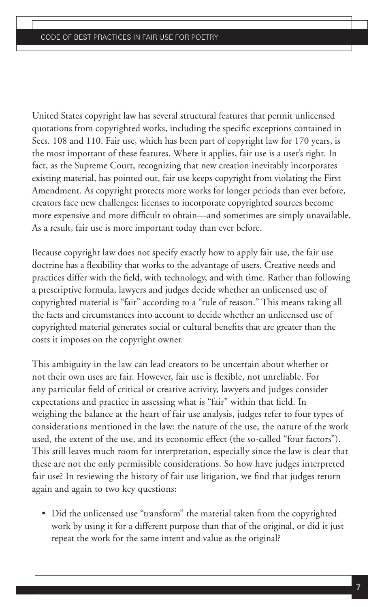United States copyright law has several structural features that permit unlicensed quotations from copyrighted works, including the specific exceptions contained in Secs. 108 and 110. Fair use, which has been part of copyright law for 170 years, is the most important of these features. Where it applies, fair use is a user's right. In fact, as the Supreme Court, recognizing that new creation inevitably incorporates existing material, has pointed out, fair use keeps copyright from violating the First Amendment. As copyright protects more works for longer periods than ever before, creators face new challenges: licenses to incorporate copyrighted sources become more expensive and more difficult to obtain—and sometimes are simply unavailable. As a result, fair use is more important today than ever before.

Because copyright law does not specify exactly how to apply fair use, the fair use doctrine has a flexibility that works to the advantage of users. Creative needs and practices differ with the field, with technology, and with time. Rather than following a prescriptive formula, lawyers and judges decide whether an unlicensed use of copyrighted material is "fair" according to a "rule of reason." This means taking all the facts and circumstances into account to decide whether an unlicensed use of copyrighted material generates social or cultural benefits that are greater than the costs it imposes on the copyright owner.

This ambiguity in the law can lead creators to be uncertain about whether or not their own uses are fair. However, fair use is flexible, not unreliable. For any particular field of critical or creative activity, lawyers and judges consider expectations and practice in assessing what is "fair" within that field. In weighing the balance at the heart of fair use analysis, judges refer to four types of considerations mentioned in the law: the nature of the use, the nature of the work used, the extent of the use, and its economic effect (the so-called "four factors"). This still leaves much room for interpretation, especially since the law is clear that these are not the only permissible considerations. So how have judges interpreted fair use? In reviewing the history of fair use litigation, we find that judges return again and again to two key questions:

• Did the unlicensed use "transform" the material taken from the copyrighted work by using it for a different purpose than that of the original, or did it just repeat the work for the same intent and value as the original?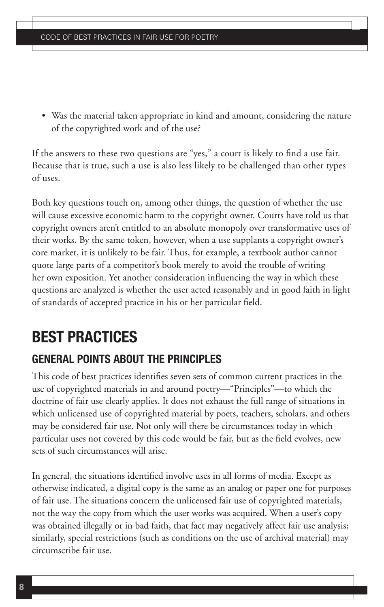• Was the material taken appropriate in kind and amount, considering the nature of the copyrighted work and of the use?

If the answers to these two questions are "yes," a court is likely to find a use fair. Because that is true, such a use is also less likely to be challenged than other types of uses.

Both key questions touch on, among other things, the question of whether the use will cause excessive economic harm to the copyright owner. Courts have told us that copyright owners aren't entitled to an absolute monopoly over transformative uses of their works. By the same token, however, when a use supplants a copyright owner's core market, it is unlikely to be fair. Thus, for example, a textbook author cannot quote large parts of a competitor's book merely to avoid the trouble of writing her own exposition. Yet another consideration influencing the way in which these questions are analyzed is whether the user acted reasonably and in good faith in light of standards of accepted practice in his or her particular field.

## **BEST PRACTICES**

## **GENERAL POINTS ABOUT THE PRINCIPLES**

This code of best practices identifies seven sets of common current practices in the use of copyrighted materials in and around poetry—"Principles"—to which the doctrine of fair use clearly applies. It does not exhaust the full range of situations in which unlicensed use of copyrighted material by poets, teachers, scholars, and others may be considered fair use. Not only will there be circumstances today in which particular uses not covered by this code would be fair, but as the field evolves, new sets of such circumstances will arise.

In general, the situations identified involve uses in all forms of media. Except as otherwise indicated, a digital copy is the same as an analog or paper one for purposes of fair use. The situations concern the unlicensed fair use of copyrighted materials, not the way the copy from which the user works was acquired. When a user's copy was obtained illegally or in bad faith, that fact may negatively affect fair use analysis; similarly, special restrictions (such as conditions on the use of archival material) may circumscribe fair use.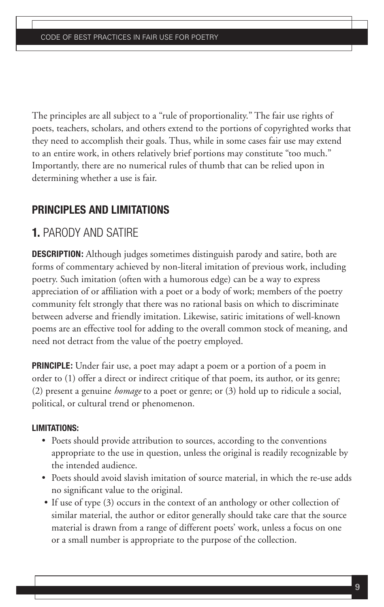The principles are all subject to a "rule of proportionality." The fair use rights of poets, teachers, scholars, and others extend to the portions of copyrighted works that they need to accomplish their goals. Thus, while in some cases fair use may extend to an entire work, in others relatively brief portions may constitute "too much." Importantly, there are no numerical rules of thumb that can be relied upon in determining whether a use is fair.

## **PRINCIPLES AND LIMITATIONS**

## **1.** PARODY AND SATIRE

**DESCRIPTION:** Although judges sometimes distinguish parody and satire, both are forms of commentary achieved by non-literal imitation of previous work, including poetry. Such imitation (often with a humorous edge) can be a way to express appreciation of or affiliation with a poet or a body of work; members of the poetry community felt strongly that there was no rational basis on which to discriminate between adverse and friendly imitation. Likewise, satiric imitations of well-known poems are an effective tool for adding to the overall common stock of meaning, and need not detract from the value of the poetry employed.

**PRINCIPLE:** Under fair use, a poet may adapt a poem or a portion of a poem in order to (1) offer a direct or indirect critique of that poem, its author, or its genre; (2) present a genuine *homage* to a poet or genre; or (3) hold up to ridicule a social, political, or cultural trend or phenomenon.

- Poets should provide attribution to sources, according to the conventions appropriate to the use in question, unless the original is readily recognizable by the intended audience.
- Poets should avoid slavish imitation of source material, in which the re-use adds no significant value to the original.
- If use of type (3) occurs in the context of an anthology or other collection of similar material, the author or editor generally should take care that the source material is drawn from a range of different poets' work, unless a focus on one or a small number is appropriate to the purpose of the collection.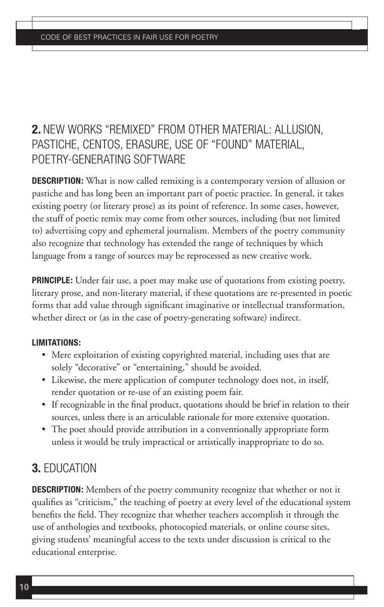## **2.** NEW WORKS "REMIXED" FROM OTHER MATERIAL: ALLUSION, PASTICHE, CENTOS, ERASURE, USE OF "FOUND" MATERIAL, POETRY-GENERATING SOFTWARE

**DESCRIPTION:** What is now called remixing is a contemporary version of allusion or pastiche and has long been an important part of poetic practice. In general, it takes existing poetry (or literary prose) as its point of reference. In some cases, however, the stuff of poetic remix may come from other sources, including (but not limited to) advertising copy and ephemeral journalism. Members of the poetry community also recognize that technology has extended the range of techniques by which language from a range of sources may be reprocessed as new creative work.

**PRINCIPLE:** Under fair use, a poet may make use of quotations from existing poetry, literary prose, and non-literary material, if these quotations are re-presented in poetic forms that add value through significant imaginative or intellectual transformation, whether direct or (as in the case of poetry-generating software) indirect.

#### **LIMITATIONS:**

- Mere exploitation of existing copyrighted material, including uses that are solely "decorative" or "entertaining," should be avoided.
- Likewise, the mere application of computer technology does not, in itself, render quotation or re-use of an existing poem fair.
- If recognizable in the final product, quotations should be brief in relation to their sources, unless there is an articulable rationale for more extensive quotation.
- The poet should provide attribution in a conventionally appropriate form unless it would be truly impractical or artistically inappropriate to do so.

## **3.** EDUCATION

**DESCRIPTION:** Members of the poetry community recognize that whether or not it qualifies as "criticism," the teaching of poetry at every level of the educational system benefits the field. They recognize that whether teachers accomplish it through the use of anthologies and textbooks, photocopied materials, or online course sites, giving students' meaningful access to the texts under discussion is critical to the educational enterprise.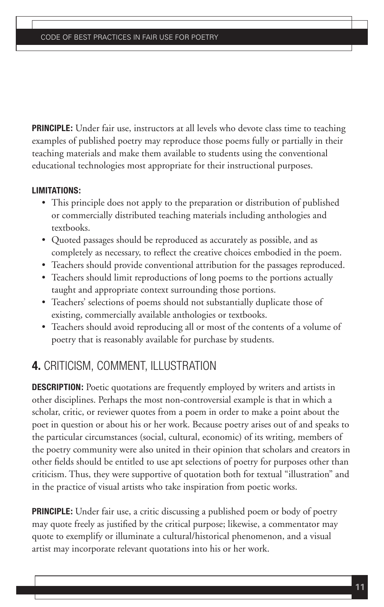**PRINCIPLE:** Under fair use, instructors at all levels who devote class time to teaching examples of published poetry may reproduce those poems fully or partially in their teaching materials and make them available to students using the conventional educational technologies most appropriate for their instructional purposes.

#### **LIMITATIONS:**

- This principle does not apply to the preparation or distribution of published or commercially distributed teaching materials including anthologies and textbooks.
- Quoted passages should be reproduced as accurately as possible, and as completely as necessary, to reflect the creative choices embodied in the poem.
- Teachers should provide conventional attribution for the passages reproduced.
- Teachers should limit reproductions of long poems to the portions actually taught and appropriate context surrounding those portions.
- Teachers' selections of poems should not substantially duplicate those of existing, commercially available anthologies or textbooks.
- Teachers should avoid reproducing all or most of the contents of a volume of poetry that is reasonably available for purchase by students.

## **4.** CRITICISM, COMMENT, ILLUSTRATION

**DESCRIPTION:** Poetic quotations are frequently employed by writers and artists in other disciplines. Perhaps the most non-controversial example is that in which a scholar, critic, or reviewer quotes from a poem in order to make a point about the poet in question or about his or her work. Because poetry arises out of and speaks to the particular circumstances (social, cultural, economic) of its writing, members of the poetry community were also united in their opinion that scholars and creators in other fields should be entitled to use apt selections of poetry for purposes other than criticism. Thus, they were supportive of quotation both for textual "illustration" and in the practice of visual artists who take inspiration from poetic works.

**PRINCIPLE:** Under fair use, a critic discussing a published poem or body of poetry may quote freely as justified by the critical purpose; likewise, a commentator may quote to exemplify or illuminate a cultural/historical phenomenon, and a visual artist may incorporate relevant quotations into his or her work.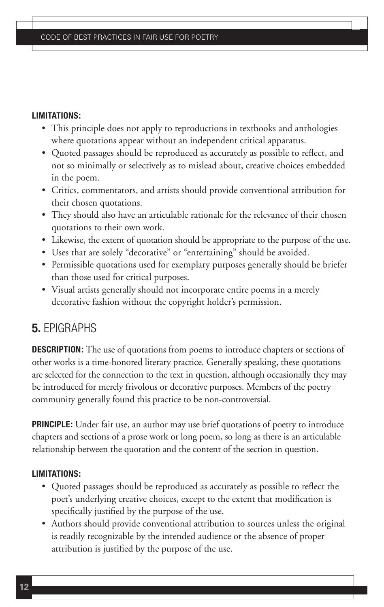#### **LIMITATIONS:**

- This principle does not apply to reproductions in textbooks and anthologies where quotations appear without an independent critical apparatus.
- Quoted passages should be reproduced as accurately as possible to reflect, and not so minimally or selectively as to mislead about, creative choices embedded in the poem.
- Critics, commentators, and artists should provide conventional attribution for their chosen quotations.
- They should also have an articulable rationale for the relevance of their chosen quotations to their own work.
- Likewise, the extent of quotation should be appropriate to the purpose of the use.
- Uses that are solely "decorative" or "entertaining" should be avoided.
- Permissible quotations used for exemplary purposes generally should be briefer than those used for critical purposes.
- Visual artists generally should not incorporate entire poems in a merely decorative fashion without the copyright holder's permission.

## **5.** EPIGRAPHS

**DESCRIPTION:** The use of quotations from poems to introduce chapters or sections of other works is a time-honored literary practice. Generally speaking, these quotations are selected for the connection to the text in question, although occasionally they may be introduced for merely frivolous or decorative purposes. Members of the poetry community generally found this practice to be non-controversial.

**PRINCIPLE:** Under fair use, an author may use brief quotations of poetry to introduce chapters and sections of a prose work or long poem, so long as there is an articulable relationship between the quotation and the content of the section in question.

- Quoted passages should be reproduced as accurately as possible to reflect the poet's underlying creative choices, except to the extent that modification is specifically justified by the purpose of the use.
- Authors should provide conventional attribution to sources unless the original is readily recognizable by the intended audience or the absence of proper attribution is justified by the purpose of the use.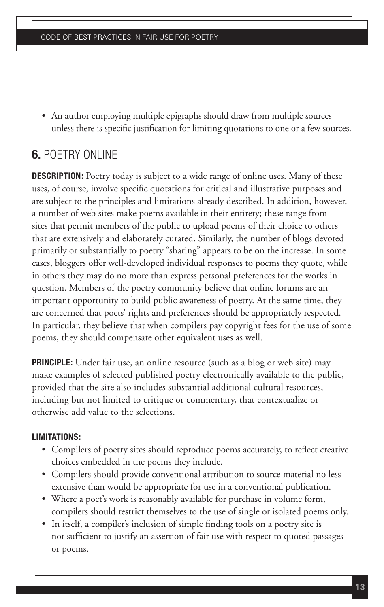• An author employing multiple epigraphs should draw from multiple sources unless there is specific justification for limiting quotations to one or a few sources.

## **6.** POETRY ONLINE

**DESCRIPTION:** Poetry today is subject to a wide range of online uses. Many of these uses, of course, involve specific quotations for critical and illustrative purposes and are subject to the principles and limitations already described. In addition, however, a number of web sites make poems available in their entirety; these range from sites that permit members of the public to upload poems of their choice to others that are extensively and elaborately curated. Similarly, the number of blogs devoted primarily or substantially to poetry "sharing" appears to be on the increase. In some cases, bloggers offer well-developed individual responses to poems they quote, while in others they may do no more than express personal preferences for the works in question. Members of the poetry community believe that online forums are an important opportunity to build public awareness of poetry. At the same time, they are concerned that poets' rights and preferences should be appropriately respected. In particular, they believe that when compilers pay copyright fees for the use of some poems, they should compensate other equivalent uses as well.

**PRINCIPLE:** Under fair use, an online resource (such as a blog or web site) may make examples of selected published poetry electronically available to the public, provided that the site also includes substantial additional cultural resources, including but not limited to critique or commentary, that contextualize or otherwise add value to the selections.

- Compilers of poetry sites should reproduce poems accurately, to reflect creative choices embedded in the poems they include.
- Compilers should provide conventional attribution to source material no less extensive than would be appropriate for use in a conventional publication.
- Where a poet's work is reasonably available for purchase in volume form, compilers should restrict themselves to the use of single or isolated poems only.
- In itself, a compiler's inclusion of simple finding tools on a poetry site is not sufficient to justify an assertion of fair use with respect to quoted passages or poems.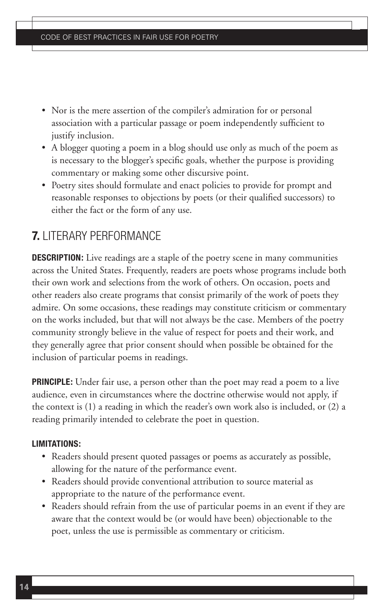- Nor is the mere assertion of the compiler's admiration for or personal association with a particular passage or poem independently sufficient to justify inclusion.
- A blogger quoting a poem in a blog should use only as much of the poem as is necessary to the blogger's specific goals, whether the purpose is providing commentary or making some other discursive point.
- Poetry sites should formulate and enact policies to provide for prompt and reasonable responses to objections by poets (or their qualified successors) to either the fact or the form of any use.

## **7.** LITERARY PERFORMANCE

**DESCRIPTION:** Live readings are a staple of the poetry scene in many communities across the United States. Frequently, readers are poets whose programs include both their own work and selections from the work of others. On occasion, poets and other readers also create programs that consist primarily of the work of poets they admire. On some occasions, these readings may constitute criticism or commentary on the works included, but that will not always be the case. Members of the poetry community strongly believe in the value of respect for poets and their work, and they generally agree that prior consent should when possible be obtained for the inclusion of particular poems in readings.

**PRINCIPLE:** Under fair use, a person other than the poet may read a poem to a live audience, even in circumstances where the doctrine otherwise would not apply, if the context is (1) a reading in which the reader's own work also is included, or (2) a reading primarily intended to celebrate the poet in question.

- Readers should present quoted passages or poems as accurately as possible, allowing for the nature of the performance event.
- Readers should provide conventional attribution to source material as appropriate to the nature of the performance event.
- Readers should refrain from the use of particular poems in an event if they are aware that the context would be (or would have been) objectionable to the poet, unless the use is permissible as commentary or criticism.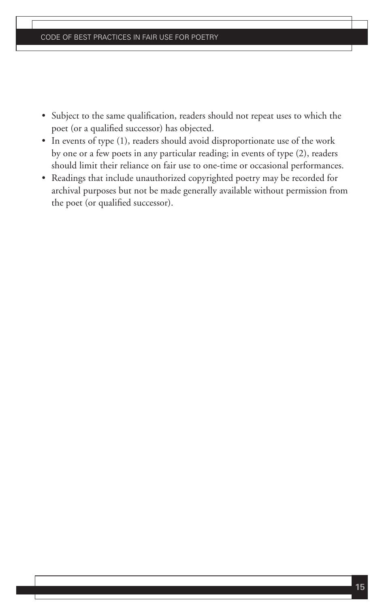- Subject to the same qualification, readers should not repeat uses to which the poet (or a qualified successor) has objected.
- In events of type (1), readers should avoid disproportionate use of the work by one or a few poets in any particular reading; in events of type (2), readers should limit their reliance on fair use to one-time or occasional performances.
- Readings that include unauthorized copyrighted poetry may be recorded for archival purposes but not be made generally available without permission from the poet (or qualified successor).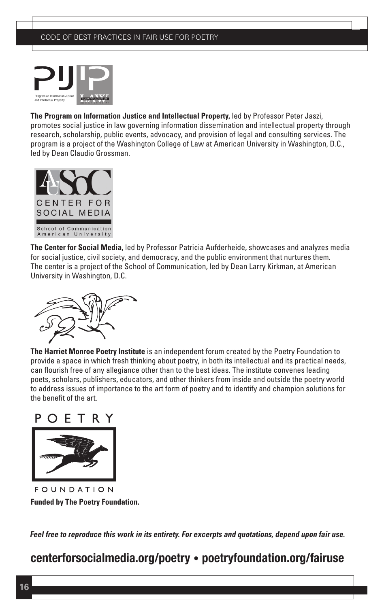

**The Program on Information Justice and Intellectual Property,** led by Professor Peter Jaszi, promotes social justice in law governing information dissemination and intellectual property through research, scholarship, public events, advocacy, and provision of legal and consulting services. The program is a project of the Washington College of Law at American University in Washington, D.C., led by Dean Claudio Grossman.



**The Center for Social Media,** led by Professor Patricia Aufderheide, showcases and analyzes media for social justice, civil society, and democracy, and the public environment that nurtures them. The center is a project of the School of Communication, led by Dean Larry Kirkman, at American University in Washington, D.C.



**The Harriet Monroe Poetry Institute** is an independent forum created by the Poetry Foundation to provide a space in which fresh thinking about poetry, in both its intellectual and its practical needs, can flourish free of any allegiance other than to the best ideas. The institute convenes leading poets, scholars, publishers, educators, and other thinkers from inside and outside the poetry world to address issues of importance to the art form of poetry and to identify and champion solutions for the benefit of the art.



FOUNDATION **Funded by The Poetry Foundation.**

**Feel free to reproduce this work in its entirety. For excerpts and quotations, depend upon fair use.**

## **centerforsocialmedia.org/poetry • poetryfoundation.org/fairuse**